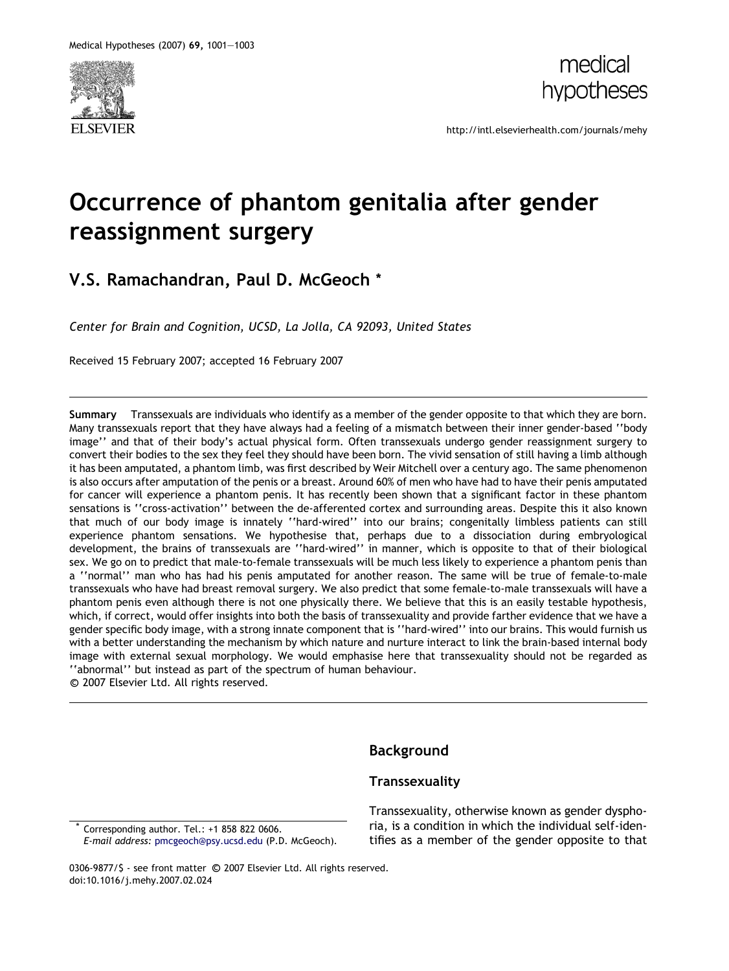



http://intl.elsevierhealth.com/journals/mehy

# Occurrence of phantom genitalia after gender reassignment surgery

# V.S. Ramachandran, Paul D. McGeoch \*

Center for Brain and Cognition, UCSD, La Jolla, CA 92093, United States

Received 15 February 2007; accepted 16 February 2007

Summary Transsexuals are individuals who identify as a member of the gender opposite to that which they are born. Many transsexuals report that they have always had a feeling of a mismatch between their inner gender-based ''body image'' and that of their body's actual physical form. Often transsexuals undergo gender reassignment surgery to convert their bodies to the sex they feel they should have been born. The vivid sensation of still having a limb although it has been amputated, a phantom limb, was first described by Weir Mitchell over a century ago. The same phenomenon is also occurs after amputation of the penis or a breast. Around 60% of men who have had to have their penis amputated for cancer will experience a phantom penis. It has recently been shown that a significant factor in these phantom sensations is ''cross-activation'' between the de-afferented cortex and surrounding areas. Despite this it also known that much of our body image is innately ''hard-wired'' into our brains; congenitally limbless patients can still experience phantom sensations. We hypothesise that, perhaps due to a dissociation during embryological development, the brains of transsexuals are ''hard-wired'' in manner, which is opposite to that of their biological sex. We go on to predict that male-to-female transsexuals will be much less likely to experience a phantom penis than a ''normal'' man who has had his penis amputated for another reason. The same will be true of female-to-male transsexuals who have had breast removal surgery. We also predict that some female-to-male transsexuals will have a phantom penis even although there is not one physically there. We believe that this is an easily testable hypothesis, which, if correct, would offer insights into both the basis of transsexuality and provide farther evidence that we have a gender specific body image, with a strong innate component that is ''hard-wired'' into our brains. This would furnish us with a better understanding the mechanism by which nature and nurture interact to link the brain-based internal body image with external sexual morphology. We would emphasise here that transsexuality should not be regarded as ''abnormal'' but instead as part of the spectrum of human behaviour.

-c 2007 Elsevier Ltd. All rights reserved.

# Background

#### Transsexuality

Corresponding author. Tel.: +1 858 822 0606. E-mail address: [pmcgeoch@psy.ucsd.edu](mailto:pmcgeoch@psy.ucsd.edu) (P.D. McGeoch). Transsexuality, otherwise known as gender dysphoria, is a condition in which the individual self-identifies as a member of the gender opposite to that

0306-9877/\$ - see front matter © 2007 Elsevier Ltd. All rights reserved. doi:10.1016/j.mehy.2007.02.024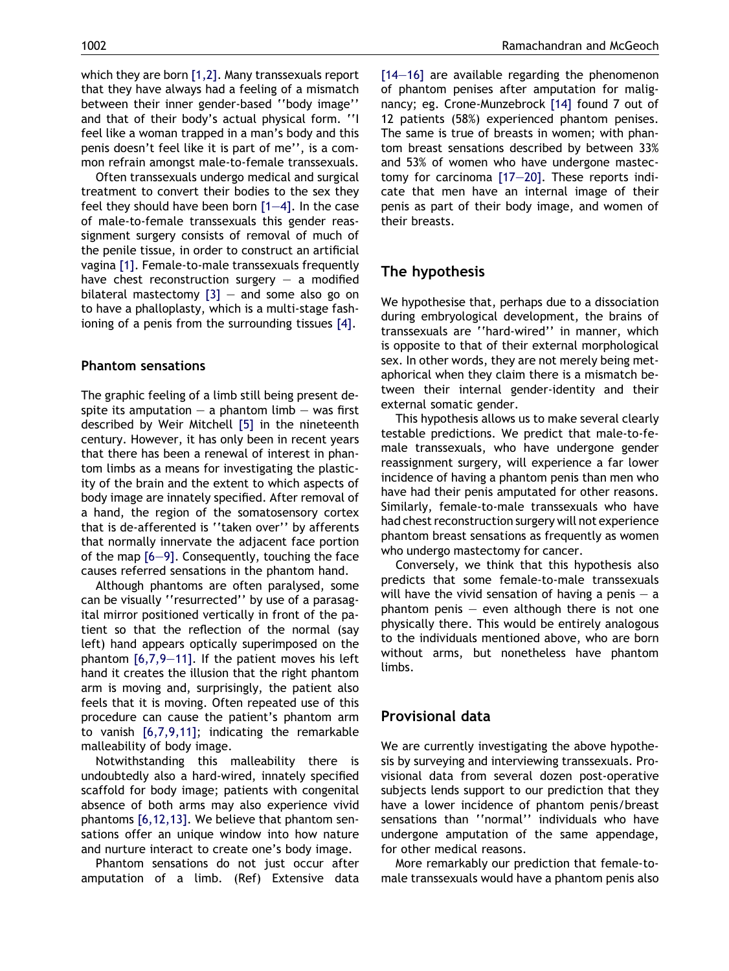which they are born [\[1,2\].](#page-2-0) Many transsexuals report that they have always had a feeling of a mismatch between their inner gender-based ''body image'' and that of their body's actual physical form. ''I feel like a woman trapped in a man's body and this penis doesn't feel like it is part of me'', is a common refrain amongst male-to-female transsexuals.

Often transsexuals undergo medical and surgical treatment to convert their bodies to the sex they feel they should have been born  $[1-4]$ . In the case of male-to-female transsexuals this gender reassignment surgery consists of removal of much of the penile tissue, in order to construct an artificial vagina [\[1\].](#page-2-0) Female-to-male transsexuals frequently have chest reconstruction surgery  $-$  a modified bilateral mastectomy  $[3]$  – and some also go on to have a phalloplasty, which is a multi-stage fashioning of a penis from the surrounding tissues [\[4\].](#page-2-0)

#### Phantom sensations

The graphic feeling of a limb still being present despite its amputation  $-$  a phantom limb  $-$  was first described by Weir Mitchell [\[5\]](#page-2-0) in the nineteenth century. However, it has only been in recent years that there has been a renewal of interest in phantom limbs as a means for investigating the plasticity of the brain and the extent to which aspects of body image are innately specified. After removal of a hand, the region of the somatosensory cortex that is de-afferented is ''taken over'' by afferents that normally innervate the adjacent face portion of the map [\[6–9\].](#page-2-0) Consequently, touching the face causes referred sensations in the phantom hand.

Although phantoms are often paralysed, some can be visually ''resurrected'' by use of a parasagital mirror positioned vertically in front of the patient so that the reflection of the normal (say left) hand appears optically superimposed on the phantom [\[6,7,9–11\]](#page-2-0). If the patient moves his left hand it creates the illusion that the right phantom arm is moving and, surprisingly, the patient also feels that it is moving. Often repeated use of this procedure can cause the patient's phantom arm to vanish [\[6,7,9,11\];](#page-2-0) indicating the remarkable malleability of body image.

Notwithstanding this malleability there is undoubtedly also a hard-wired, innately specified scaffold for body image; patients with congenital absence of both arms may also experience vivid phantoms [\[6,12,13\]](#page-2-0). We believe that phantom sensations offer an unique window into how nature and nurture interact to create one's body image.

Phantom sensations do not just occur after amputation of a limb. (Ref) Extensive data

[\[14–16\]](#page-2-0) are available regarding the phenomenon of phantom penises after amputation for malignancy; eg. Crone-Munzebrock [\[14\]](#page-2-0) found 7 out of 12 patients (58%) experienced phantom penises. The same is true of breasts in women; with phantom breast sensations described by between 33% and 53% of women who have undergone mastectomy for carcinoma [\[17–20\].](#page-2-0) These reports indicate that men have an internal image of their penis as part of their body image, and women of their breasts.

## The hypothesis

We hypothesise that, perhaps due to a dissociation during embryological development, the brains of transsexuals are ''hard-wired'' in manner, which is opposite to that of their external morphological sex. In other words, they are not merely being metaphorical when they claim there is a mismatch between their internal gender-identity and their external somatic gender.

This hypothesis allows us to make several clearly testable predictions. We predict that male-to-female transsexuals, who have undergone gender reassignment surgery, will experience a far lower incidence of having a phantom penis than men who have had their penis amputated for other reasons. Similarly, female-to-male transsexuals who have had chest reconstruction surgery will not experience phantom breast sensations as frequently as women who undergo mastectomy for cancer.

Conversely, we think that this hypothesis also predicts that some female-to-male transsexuals will have the vivid sensation of having a penis  $-$  a phantom penis  $-$  even although there is not one physically there. This would be entirely analogous to the individuals mentioned above, who are born without arms, but nonetheless have phantom limbs.

### Provisional data

We are currently investigating the above hypothesis by surveying and interviewing transsexuals. Provisional data from several dozen post-operative subjects lends support to our prediction that they have a lower incidence of phantom penis/breast sensations than ''normal'' individuals who have undergone amputation of the same appendage, for other medical reasons.

More remarkably our prediction that female-tomale transsexuals would have a phantom penis also